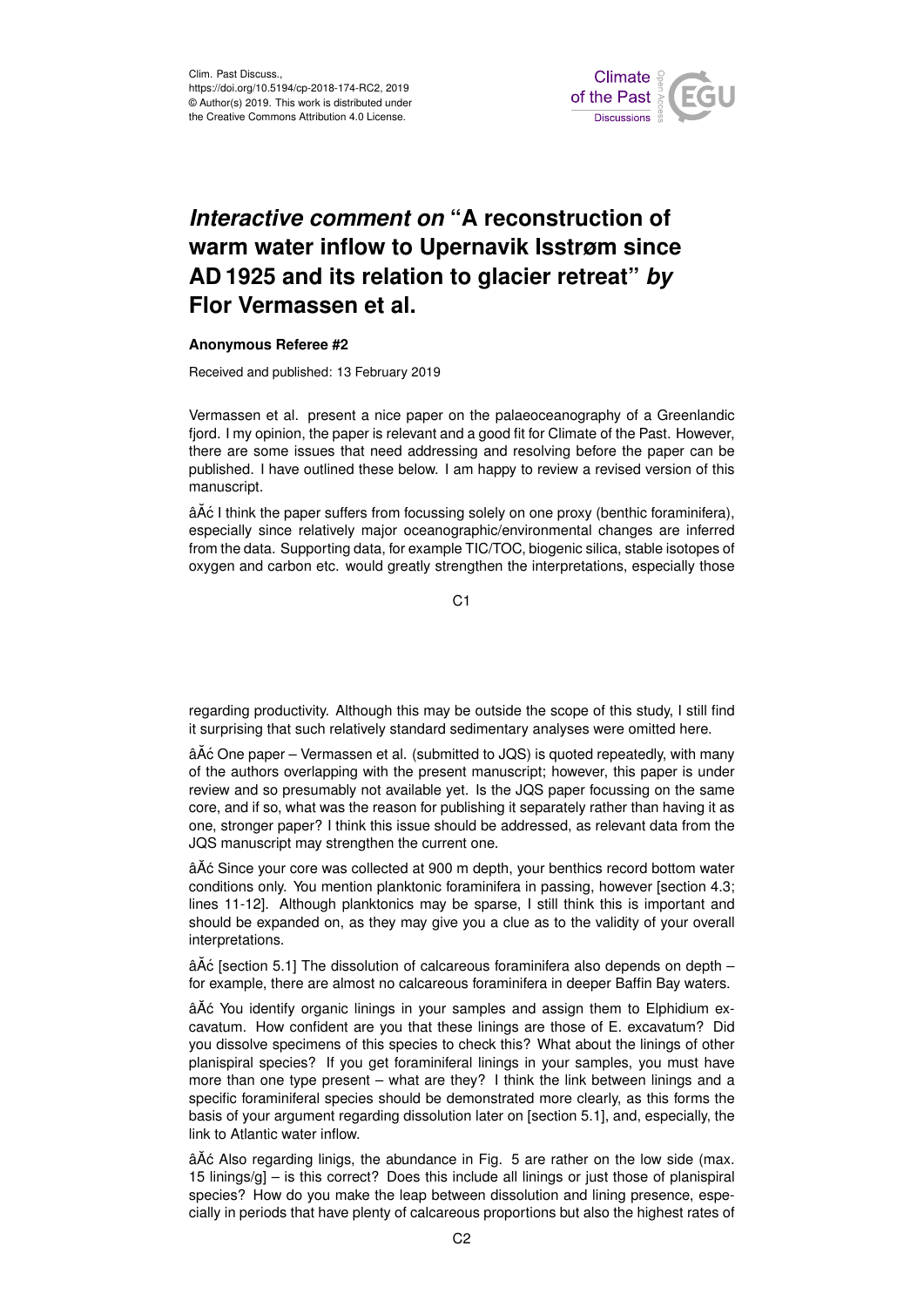

## *Interactive comment on* **"A reconstruction of warm water inflow to Upernavik Isstrøm since AD 1925 and its relation to glacier retreat"** *by* **Flor Vermassen et al.**

## **Anonymous Referee #2**

Received and published: 13 February 2019

Vermassen et al. present a nice paper on the palaeoceanography of a Greenlandic fjord. I my opinion, the paper is relevant and a good fit for Climate of the Past. However, there are some issues that need addressing and resolving before the paper can be published. I have outlined these below. I am happy to review a revised version of this manuscript.

â $\tilde{A}$ ć I think the paper suffers from focussing solely on one proxy (benthic foraminifera), especially since relatively major oceanographic/environmental changes are inferred from the data. Supporting data, for example TIC/TOC, biogenic silica, stable isotopes of oxygen and carbon etc. would greatly strengthen the interpretations, especially those

 $C<sub>1</sub>$ 

regarding productivity. Although this may be outside the scope of this study, I still find it surprising that such relatively standard sedimentary analyses were omitted here.

â $\tilde{A}$ ć One paper – Vermassen et al. (submitted to JQS) is quoted repeatedly, with many of the authors overlapping with the present manuscript; however, this paper is under review and so presumably not available yet. Is the JQS paper focussing on the same core, and if so, what was the reason for publishing it separately rather than having it as one, stronger paper? I think this issue should be addressed, as relevant data from the JQS manuscript may strengthen the current one.

âĂć Since your core was collected at 900 m depth, your benthics record bottom water conditions only. You mention planktonic foraminifera in passing, however [section 4.3; lines 11-12]. Although planktonics may be sparse, I still think this is important and should be expanded on, as they may give you a clue as to the validity of your overall interpretations.

 $\hat{a}$ Å $\hat{c}$  [section 5.1] The dissolution of calcareous foraminifera also depends on depth – for example, there are almost no calcareous foraminifera in deeper Baffin Bay waters.

âĂć You identify organic linings in your samples and assign them to Elphidium excavatum. How confident are you that these linings are those of E. excavatum? Did you dissolve specimens of this species to check this? What about the linings of other planispiral species? If you get foraminiferal linings in your samples, you must have more than one type present – what are they? I think the link between linings and a specific foraminiferal species should be demonstrated more clearly, as this forms the basis of your argument regarding dissolution later on [section 5.1], and, especially, the link to Atlantic water inflow.

âAč Also regarding linigs, the abundance in Fig. 5 are rather on the low side (max. 15 linings/g] – is this correct? Does this include all linings or just those of planispiral species? How do you make the leap between dissolution and lining presence, especially in periods that have plenty of calcareous proportions but also the highest rates of